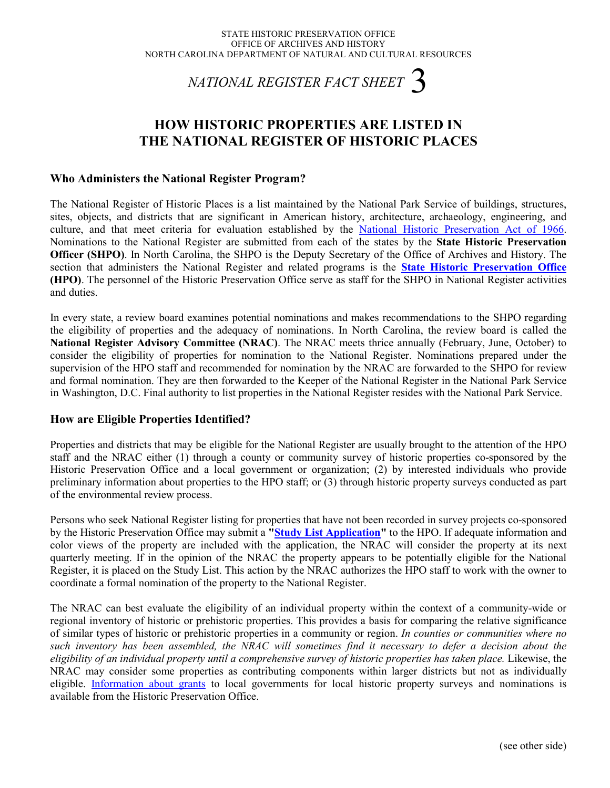# *NATIONAL REGISTER FACT SHEET* 3

# **HOW HISTORIC PROPERTIES ARE LISTED IN THE NATIONAL REGISTER OF HISTORIC PLACES**

#### **Who Administers the National Register Program?**

The National Register of Historic Places is a list maintained by the National Park Service of buildings, structures, sites, objects, and districts that are significant in American history, architecture, archaeology, engineering, and culture, and that meet criteria for evaluation established by the [National Historic Preservation Act of 1966.](http://www.hpo.ncdcr.gov/nhpa.htm) Nominations to the National Register are submitted from each of the states by the **State Historic Preservation Officer (SHPO)**. In North Carolina, the SHPO is the Deputy Secretary of the Office of Archives and History. The section that administers the National Register and related programs is the **[State Historic Preservation Office](http://www.hpo.ncdcr.gov/) (HPO)**. The personnel of the Historic Preservation Office serve as staff for the SHPO in National Register activities and duties.

In every state, a review board examines potential nominations and makes recommendations to the SHPO regarding the eligibility of properties and the adequacy of nominations. In North Carolina, the review board is called the **National Register Advisory Committee (NRAC)**. The NRAC meets thrice annually (February, June, October) to consider the eligibility of properties for nomination to the National Register. Nominations prepared under the supervision of the HPO staff and recommended for nomination by the NRAC are forwarded to the SHPO for review and formal nomination. They are then forwarded to the Keeper of the National Register in the National Park Service in Washington, D.C. Final authority to list properties in the National Register resides with the National Park Service.

#### **How are Eligible Properties Identified?**

Properties and districts that may be eligible for the National Register are usually brought to the attention of the HPO staff and the NRAC either (1) through a county or community survey of historic properties co-sponsored by the Historic Preservation Office and a local government or organization; (2) by interested individuals who provide preliminary information about properties to the HPO staff; or (3) through historic property surveys conducted as part of the environmental review process.

Persons who seek National Register listing for properties that have not been recorded in survey projects co-sponsored by the Historic Preservation Office may submit a **["Study List Application"](http://www.hpo.ncdcr.gov/slhowto.htm)** to the HPO. If adequate information and color views of the property are included with the application, the NRAC will consider the property at its next quarterly meeting. If in the opinion of the NRAC the property appears to be potentially eligible for the National Register, it is placed on the Study List. This action by the NRAC authorizes the HPO staff to work with the owner to coordinate a formal nomination of the property to the National Register.

The NRAC can best evaluate the eligibility of an individual property within the context of a community-wide or regional inventory of historic or prehistoric properties. This provides a basis for comparing the relative significance of similar types of historic or prehistoric properties in a community or region. *In counties or communities where no such inventory has been assembled, the NRAC will sometimes find it necessary to defer a decision about the eligibility of an individual property until a comprehensive survey of historic properties has taken place.* Likewise, the NRAC may consider some properties as contributing components within larger districts but not as individually eligible. [Information about grants](http://www.hpo.ncdcr.gov/grants.htm) to local governments for local historic property surveys and nominations is available from the Historic Preservation Office.